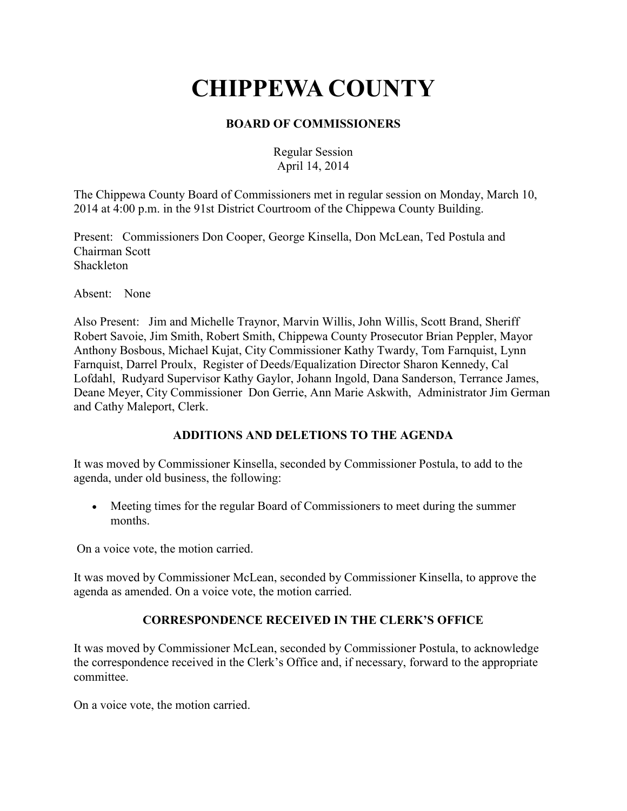# **CHIPPEWA COUNTY**

# **BOARD OF COMMISSIONERS**

Regular Session April 14, 2014

The Chippewa County Board of Commissioners met in regular session on Monday, March 10, 2014 at 4:00 p.m. in the 91st District Courtroom of the Chippewa County Building.

Present: Commissioners Don Cooper, George Kinsella, Don McLean, Ted Postula and Chairman Scott Shackleton

Absent: None

Also Present: Jim and Michelle Traynor, Marvin Willis, John Willis, Scott Brand, Sheriff Robert Savoie, Jim Smith, Robert Smith, Chippewa County Prosecutor Brian Peppler, Mayor Anthony Bosbous, Michael Kujat, City Commissioner Kathy Twardy, Tom Farnquist, Lynn Farnquist, Darrel Proulx, Register of Deeds/Equalization Director Sharon Kennedy, Cal Lofdahl, Rudyard Supervisor Kathy Gaylor, Johann Ingold, Dana Sanderson, Terrance James, Deane Meyer, City Commissioner Don Gerrie, Ann Marie Askwith, Administrator Jim German and Cathy Maleport, Clerk.

# **ADDITIONS AND DELETIONS TO THE AGENDA**

It was moved by Commissioner Kinsella, seconded by Commissioner Postula, to add to the agenda, under old business, the following:

• Meeting times for the regular Board of Commissioners to meet during the summer months.

On a voice vote, the motion carried.

It was moved by Commissioner McLean, seconded by Commissioner Kinsella, to approve the agenda as amended. On a voice vote, the motion carried.

# **CORRESPONDENCE RECEIVED IN THE CLERK'S OFFICE**

It was moved by Commissioner McLean, seconded by Commissioner Postula, to acknowledge the correspondence received in the Clerk's Office and, if necessary, forward to the appropriate committee.

On a voice vote, the motion carried.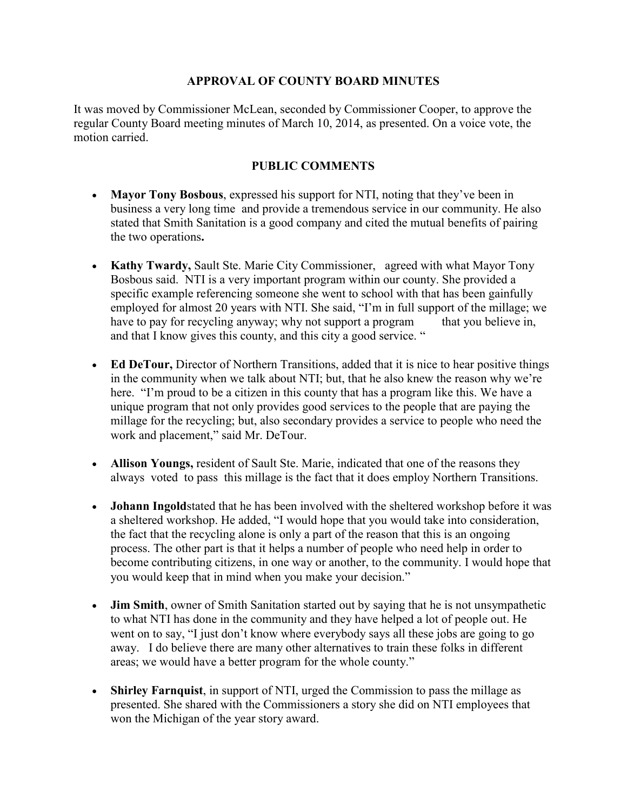## **APPROVAL OF COUNTY BOARD MINUTES**

It was moved by Commissioner McLean, seconded by Commissioner Cooper, to approve the regular County Board meeting minutes of March 10, 2014, as presented. On a voice vote, the motion carried.

## **PUBLIC COMMENTS**

- **Mayor Tony Bosbous**, expressed his support for NTI, noting that they've been in business a very long time and provide a tremendous service in our community. He also stated that Smith Sanitation is a good company and cited the mutual benefits of pairing the two operations**.**
- **Kathy Twardy,** Sault Ste. Marie City Commissioner, agreed with what Mayor Tony Bosbous said. NTI is a very important program within our county. She provided a specific example referencing someone she went to school with that has been gainfully employed for almost 20 years with NTI. She said, "I'm in full support of the millage; we have to pay for recycling anyway; why not support a program that you believe in, and that I know gives this county, and this city a good service. "
- **Ed DeTour,** Director of Northern Transitions, added that it is nice to hear positive things in the community when we talk about NTI; but, that he also knew the reason why we're here. "I'm proud to be a citizen in this county that has a program like this. We have a unique program that not only provides good services to the people that are paying the millage for the recycling; but, also secondary provides a service to people who need the work and placement," said Mr. DeTour.
- **Allison Youngs, resident of Sault Ste. Marie, indicated that one of the reasons they** always voted to pass this millage is the fact that it does employ Northern Transitions.
- **Johann Ingold**stated that he has been involved with the sheltered workshop before it was a sheltered workshop. He added, "I would hope that you would take into consideration, the fact that the recycling alone is only a part of the reason that this is an ongoing process. The other part is that it helps a number of people who need help in order to become contributing citizens, in one way or another, to the community. I would hope that you would keep that in mind when you make your decision."
- **Jim Smith**, owner of Smith Sanitation started out by saying that he is not unsympathetic to what NTI has done in the community and they have helped a lot of people out. He went on to say, "I just don't know where everybody says all these jobs are going to go away. I do believe there are many other alternatives to train these folks in different areas; we would have a better program for the whole county."
- **Shirley Farnquist**, in support of NTI, urged the Commission to pass the millage as presented. She shared with the Commissioners a story she did on NTI employees that won the Michigan of the year story award.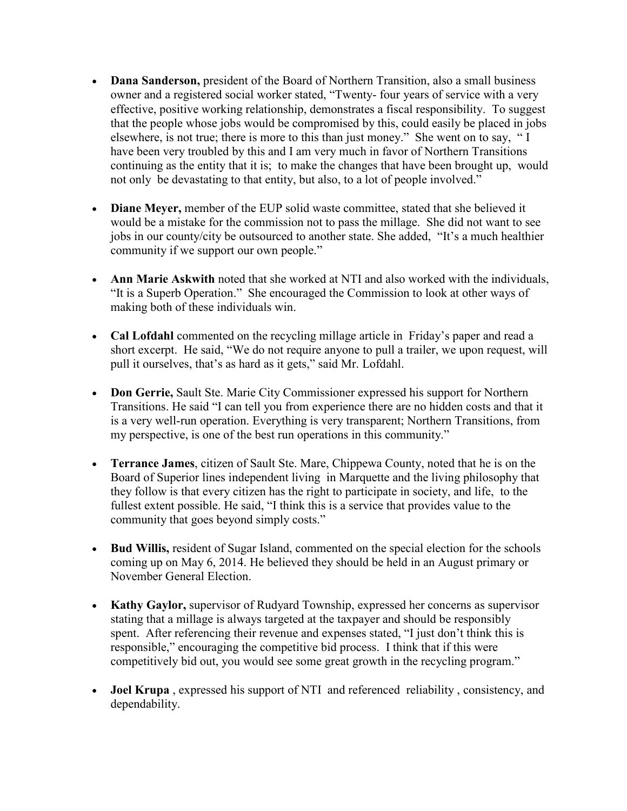- **Dana Sanderson,** president of the Board of Northern Transition, also a small business owner and a registered social worker stated, "Twenty- four years of service with a very effective, positive working relationship, demonstrates a fiscal responsibility. To suggest that the people whose jobs would be compromised by this, could easily be placed in jobs elsewhere, is not true; there is more to this than just money." She went on to say, " I have been very troubled by this and I am very much in favor of Northern Transitions continuing as the entity that it is; to make the changes that have been brought up, would not only be devastating to that entity, but also, to a lot of people involved."
- **Diane Meyer,** member of the EUP solid waste committee, stated that she believed it would be a mistake for the commission not to pass the millage. She did not want to see jobs in our county/city be outsourced to another state. She added, "It's a much healthier community if we support our own people."
- **Ann Marie Askwith** noted that she worked at NTI and also worked with the individuals, "It is a Superb Operation." She encouraged the Commission to look at other ways of making both of these individuals win.
- **Cal Lofdahl** commented on the recycling millage article in Friday's paper and read a short excerpt. He said, "We do not require anyone to pull a trailer, we upon request, will pull it ourselves, that's as hard as it gets," said Mr. Lofdahl.
- **Don Gerrie,** Sault Ste. Marie City Commissioner expressed his support for Northern Transitions. He said "I can tell you from experience there are no hidden costs and that it is a very well-run operation. Everything is very transparent; Northern Transitions, from my perspective, is one of the best run operations in this community."
- **Terrance James**, citizen of Sault Ste. Mare, Chippewa County, noted that he is on the Board of Superior lines independent living in Marquette and the living philosophy that they follow is that every citizen has the right to participate in society, and life, to the fullest extent possible. He said, "I think this is a service that provides value to the community that goes beyond simply costs."
- **Bud Willis,** resident of Sugar Island, commented on the special election for the schools coming up on May 6, 2014. He believed they should be held in an August primary or November General Election.
- **Kathy Gaylor,** supervisor of Rudyard Township, expressed her concerns as supervisor stating that a millage is always targeted at the taxpayer and should be responsibly spent. After referencing their revenue and expenses stated, "I just don't think this is responsible," encouraging the competitive bid process. I think that if this were competitively bid out, you would see some great growth in the recycling program."
- **Joel Krupa** , expressed his support of NTI and referenced reliability , consistency, and dependability.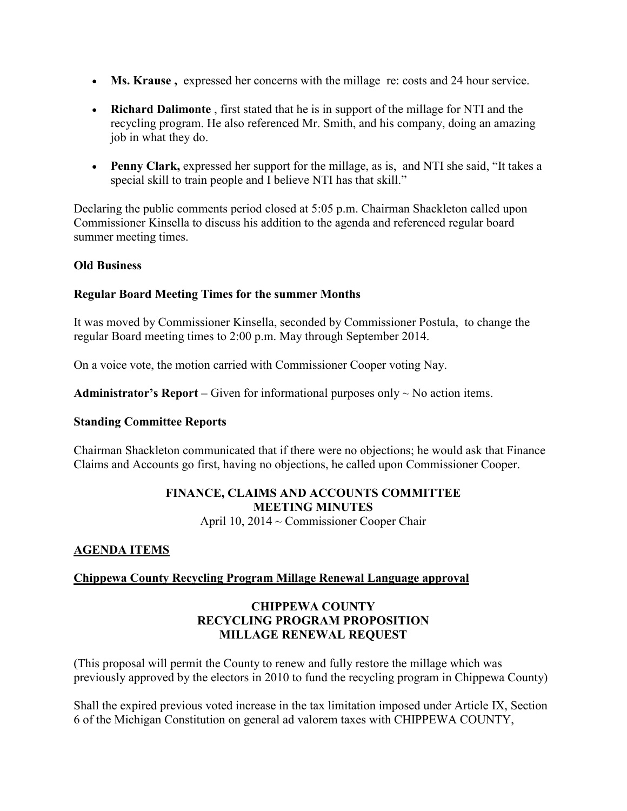- **Ms. Krause**, expressed her concerns with the millage re: costs and 24 hour service.
- **Richard Dalimonte** , first stated that he is in support of the millage for NTI and the recycling program. He also referenced Mr. Smith, and his company, doing an amazing job in what they do.
- **Penny Clark,** expressed her support for the millage, as is, and NTI she said, "It takes a special skill to train people and I believe NTI has that skill."

Declaring the public comments period closed at 5:05 p.m. Chairman Shackleton called upon Commissioner Kinsella to discuss his addition to the agenda and referenced regular board summer meeting times.

## **Old Business**

## **Regular Board Meeting Times for the summer Months**

It was moved by Commissioner Kinsella, seconded by Commissioner Postula, to change the regular Board meeting times to 2:00 p.m. May through September 2014.

On a voice vote, the motion carried with Commissioner Cooper voting Nay.

**Administrator's Report** – Given for informational purposes only  $\sim$  No action items.

#### **Standing Committee Reports**

Chairman Shackleton communicated that if there were no objections; he would ask that Finance Claims and Accounts go first, having no objections, he called upon Commissioner Cooper.

# **FINANCE, CLAIMS AND ACCOUNTS COMMITTEE MEETING MINUTES**

April 10, 2014 ~ Commissioner Cooper Chair

# **AGENDA ITEMS**

# **Chippewa County Recycling Program Millage Renewal Language approval**

#### **CHIPPEWA COUNTY RECYCLING PROGRAM PROPOSITION MILLAGE RENEWAL REQUEST**

(This proposal will permit the County to renew and fully restore the millage which was previously approved by the electors in 2010 to fund the recycling program in Chippewa County)

Shall the expired previous voted increase in the tax limitation imposed under Article IX, Section 6 of the Michigan Constitution on general ad valorem taxes with CHIPPEWA COUNTY,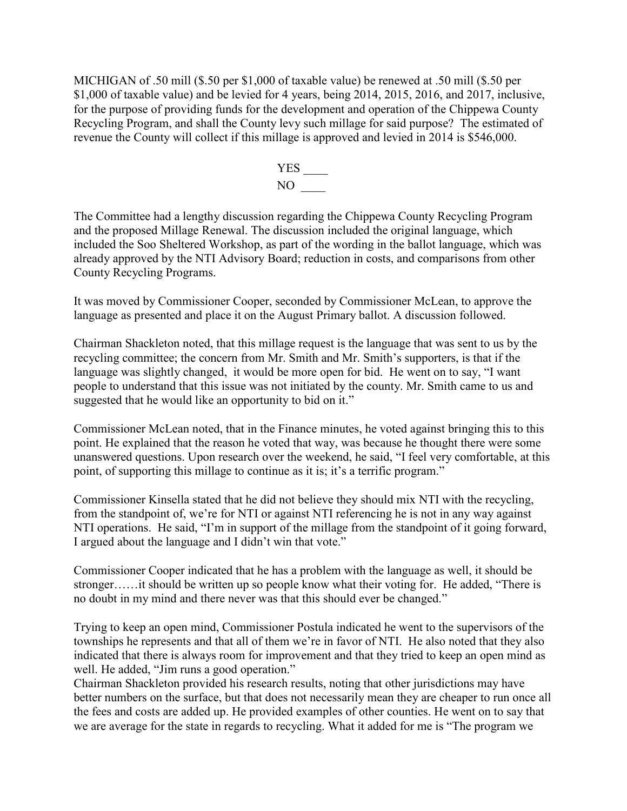MICHIGAN of .50 mill (\$.50 per \$1,000 of taxable value) be renewed at .50 mill (\$.50 per \$1,000 of taxable value) and be levied for 4 years, being 2014, 2015, 2016, and 2017, inclusive, for the purpose of providing funds for the development and operation of the Chippewa County Recycling Program, and shall the County levy such millage for said purpose? The estimated of revenue the County will collect if this millage is approved and levied in 2014 is \$546,000.



The Committee had a lengthy discussion regarding the Chippewa County Recycling Program and the proposed Millage Renewal. The discussion included the original language, which included the Soo Sheltered Workshop, as part of the wording in the ballot language, which was already approved by the NTI Advisory Board; reduction in costs, and comparisons from other County Recycling Programs.

It was moved by Commissioner Cooper, seconded by Commissioner McLean, to approve the language as presented and place it on the August Primary ballot. A discussion followed.

Chairman Shackleton noted, that this millage request is the language that was sent to us by the recycling committee; the concern from Mr. Smith and Mr. Smith's supporters, is that if the language was slightly changed, it would be more open for bid. He went on to say, "I want people to understand that this issue was not initiated by the county. Mr. Smith came to us and suggested that he would like an opportunity to bid on it."

Commissioner McLean noted, that in the Finance minutes, he voted against bringing this to this point. He explained that the reason he voted that way, was because he thought there were some unanswered questions. Upon research over the weekend, he said, "I feel very comfortable, at this point, of supporting this millage to continue as it is; it's a terrific program."

Commissioner Kinsella stated that he did not believe they should mix NTI with the recycling, from the standpoint of, we're for NTI or against NTI referencing he is not in any way against NTI operations. He said, "I'm in support of the millage from the standpoint of it going forward, I argued about the language and I didn't win that vote."

Commissioner Cooper indicated that he has a problem with the language as well, it should be stronger……it should be written up so people know what their voting for. He added, "There is no doubt in my mind and there never was that this should ever be changed."

Trying to keep an open mind, Commissioner Postula indicated he went to the supervisors of the townships he represents and that all of them we're in favor of NTI. He also noted that they also indicated that there is always room for improvement and that they tried to keep an open mind as well. He added, "Jim runs a good operation."

Chairman Shackleton provided his research results, noting that other jurisdictions may have better numbers on the surface, but that does not necessarily mean they are cheaper to run once all the fees and costs are added up. He provided examples of other counties. He went on to say that we are average for the state in regards to recycling. What it added for me is "The program we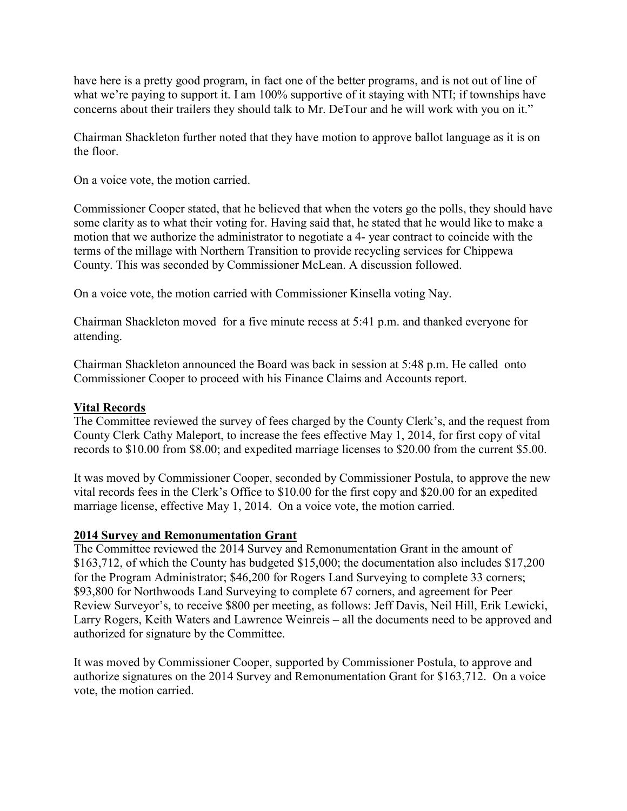have here is a pretty good program, in fact one of the better programs, and is not out of line of what we're paying to support it. I am 100% supportive of it staying with NTI; if townships have concerns about their trailers they should talk to Mr. DeTour and he will work with you on it."

Chairman Shackleton further noted that they have motion to approve ballot language as it is on the floor.

On a voice vote, the motion carried.

Commissioner Cooper stated, that he believed that when the voters go the polls, they should have some clarity as to what their voting for. Having said that, he stated that he would like to make a motion that we authorize the administrator to negotiate a 4- year contract to coincide with the terms of the millage with Northern Transition to provide recycling services for Chippewa County. This was seconded by Commissioner McLean. A discussion followed.

On a voice vote, the motion carried with Commissioner Kinsella voting Nay.

Chairman Shackleton moved for a five minute recess at 5:41 p.m. and thanked everyone for attending.

Chairman Shackleton announced the Board was back in session at 5:48 p.m. He called onto Commissioner Cooper to proceed with his Finance Claims and Accounts report.

## **Vital Records**

The Committee reviewed the survey of fees charged by the County Clerk's, and the request from County Clerk Cathy Maleport, to increase the fees effective May 1, 2014, for first copy of vital records to \$10.00 from \$8.00; and expedited marriage licenses to \$20.00 from the current \$5.00.

It was moved by Commissioner Cooper, seconded by Commissioner Postula, to approve the new vital records fees in the Clerk's Office to \$10.00 for the first copy and \$20.00 for an expedited marriage license, effective May 1, 2014. On a voice vote, the motion carried.

#### **2014 Survey and Remonumentation Grant**

The Committee reviewed the 2014 Survey and Remonumentation Grant in the amount of \$163,712, of which the County has budgeted \$15,000; the documentation also includes \$17,200 for the Program Administrator; \$46,200 for Rogers Land Surveying to complete 33 corners; \$93,800 for Northwoods Land Surveying to complete 67 corners, and agreement for Peer Review Surveyor's, to receive \$800 per meeting, as follows: Jeff Davis, Neil Hill, Erik Lewicki, Larry Rogers, Keith Waters and Lawrence Weinreis – all the documents need to be approved and authorized for signature by the Committee.

It was moved by Commissioner Cooper, supported by Commissioner Postula, to approve and authorize signatures on the 2014 Survey and Remonumentation Grant for \$163,712. On a voice vote, the motion carried.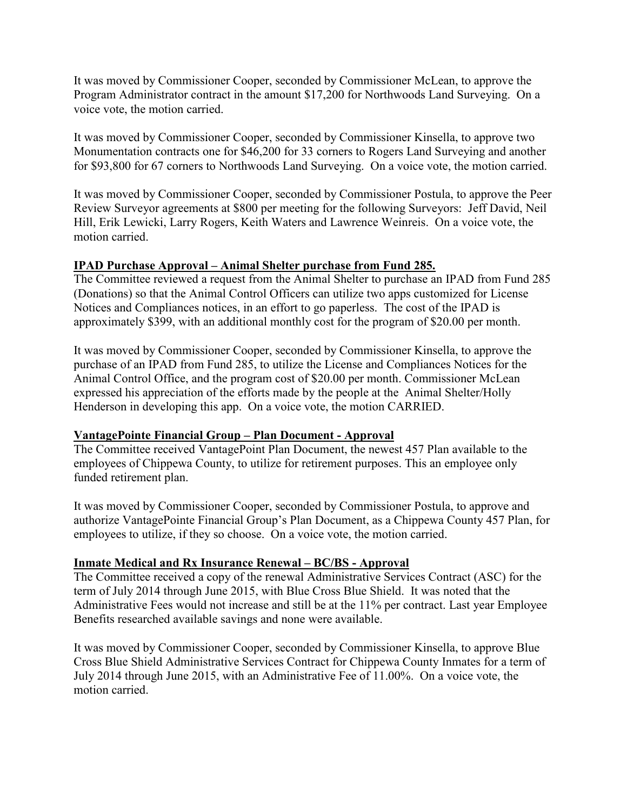It was moved by Commissioner Cooper, seconded by Commissioner McLean, to approve the Program Administrator contract in the amount \$17,200 for Northwoods Land Surveying. On a voice vote, the motion carried.

It was moved by Commissioner Cooper, seconded by Commissioner Kinsella, to approve two Monumentation contracts one for \$46,200 for 33 corners to Rogers Land Surveying and another for \$93,800 for 67 corners to Northwoods Land Surveying. On a voice vote, the motion carried.

It was moved by Commissioner Cooper, seconded by Commissioner Postula, to approve the Peer Review Surveyor agreements at \$800 per meeting for the following Surveyors: Jeff David, Neil Hill, Erik Lewicki, Larry Rogers, Keith Waters and Lawrence Weinreis. On a voice vote, the motion carried.

# **IPAD Purchase Approval – Animal Shelter purchase from Fund 285.**

The Committee reviewed a request from the Animal Shelter to purchase an IPAD from Fund 285 (Donations) so that the Animal Control Officers can utilize two apps customized for License Notices and Compliances notices, in an effort to go paperless. The cost of the IPAD is approximately \$399, with an additional monthly cost for the program of \$20.00 per month.

It was moved by Commissioner Cooper, seconded by Commissioner Kinsella, to approve the purchase of an IPAD from Fund 285, to utilize the License and Compliances Notices for the Animal Control Office, and the program cost of \$20.00 per month. Commissioner McLean expressed his appreciation of the efforts made by the people at the Animal Shelter/Holly Henderson in developing this app. On a voice vote, the motion CARRIED.

# **VantagePointe Financial Group – Plan Document - Approval**

The Committee received VantagePoint Plan Document, the newest 457 Plan available to the employees of Chippewa County, to utilize for retirement purposes. This an employee only funded retirement plan.

It was moved by Commissioner Cooper, seconded by Commissioner Postula, to approve and authorize VantagePointe Financial Group's Plan Document, as a Chippewa County 457 Plan, for employees to utilize, if they so choose. On a voice vote, the motion carried.

# **Inmate Medical and Rx Insurance Renewal – BC/BS - Approval**

The Committee received a copy of the renewal Administrative Services Contract (ASC) for the term of July 2014 through June 2015, with Blue Cross Blue Shield. It was noted that the Administrative Fees would not increase and still be at the 11% per contract. Last year Employee Benefits researched available savings and none were available.

It was moved by Commissioner Cooper, seconded by Commissioner Kinsella, to approve Blue Cross Blue Shield Administrative Services Contract for Chippewa County Inmates for a term of July 2014 through June 2015, with an Administrative Fee of 11.00%. On a voice vote, the motion carried.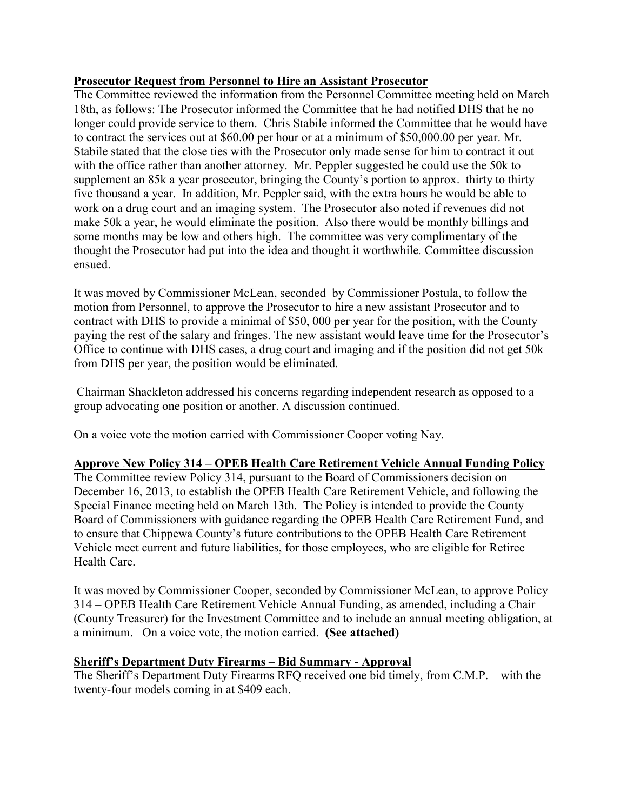## **Prosecutor Request from Personnel to Hire an Assistant Prosecutor**

The Committee reviewed the information from the Personnel Committee meeting held on March 18th, as follows: The Prosecutor informed the Committee that he had notified DHS that he no longer could provide service to them. Chris Stabile informed the Committee that he would have to contract the services out at \$60.00 per hour or at a minimum of \$50,000.00 per year. Mr. Stabile stated that the close ties with the Prosecutor only made sense for him to contract it out with the office rather than another attorney. Mr. Peppler suggested he could use the 50k to supplement an 85k a year prosecutor, bringing the County's portion to approx. thirty to thirty five thousand a year. In addition, Mr. Peppler said, with the extra hours he would be able to work on a drug court and an imaging system. The Prosecutor also noted if revenues did not make 50k a year, he would eliminate the position. Also there would be monthly billings and some months may be low and others high. The committee was very complimentary of the thought the Prosecutor had put into the idea and thought it worthwhile*.* Committee discussion ensued.

It was moved by Commissioner McLean, seconded by Commissioner Postula, to follow the motion from Personnel, to approve the Prosecutor to hire a new assistant Prosecutor and to contract with DHS to provide a minimal of \$50, 000 per year for the position, with the County paying the rest of the salary and fringes. The new assistant would leave time for the Prosecutor's Office to continue with DHS cases, a drug court and imaging and if the position did not get 50k from DHS per year, the position would be eliminated.

 Chairman Shackleton addressed his concerns regarding independent research as opposed to a group advocating one position or another. A discussion continued.

On a voice vote the motion carried with Commissioner Cooper voting Nay.

#### **Approve New Policy 314 – OPEB Health Care Retirement Vehicle Annual Funding Policy**

The Committee review Policy 314, pursuant to the Board of Commissioners decision on December 16, 2013, to establish the OPEB Health Care Retirement Vehicle, and following the Special Finance meeting held on March 13th. The Policy is intended to provide the County Board of Commissioners with guidance regarding the OPEB Health Care Retirement Fund, and to ensure that Chippewa County's future contributions to the OPEB Health Care Retirement Vehicle meet current and future liabilities, for those employees, who are eligible for Retiree Health Care.

It was moved by Commissioner Cooper, seconded by Commissioner McLean, to approve Policy 314 – OPEB Health Care Retirement Vehicle Annual Funding, as amended, including a Chair (County Treasurer) for the Investment Committee and to include an annual meeting obligation, at a minimum. On a voice vote, the motion carried. **(See attached)**

# **Sheriff's Department Duty Firearms – Bid Summary - Approval**

The Sheriff's Department Duty Firearms RFQ received one bid timely, from C.M.P. – with the twenty-four models coming in at \$409 each.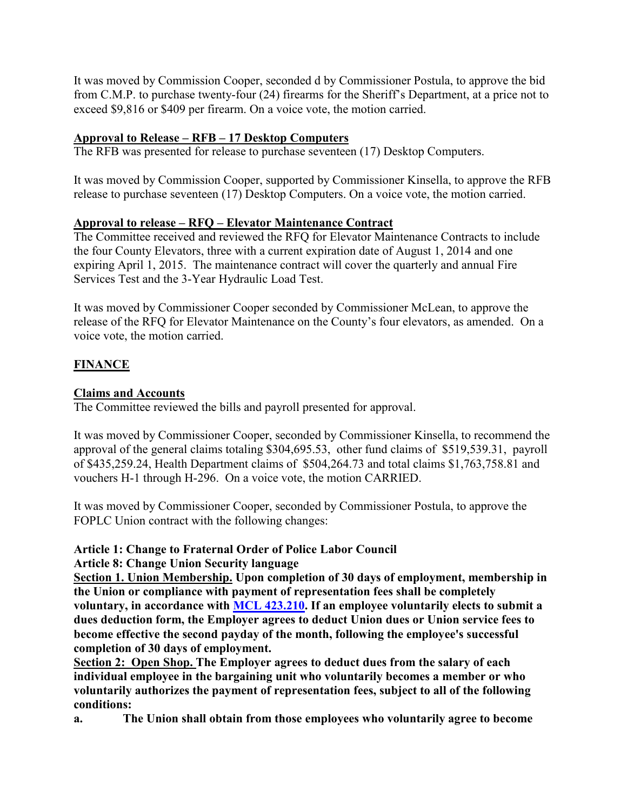It was moved by Commission Cooper, seconded d by Commissioner Postula, to approve the bid from C.M.P. to purchase twenty-four (24) firearms for the Sheriff's Department, at a price not to exceed \$9,816 or \$409 per firearm. On a voice vote, the motion carried.

# **Approval to Release – RFB – 17 Desktop Computers**

The RFB was presented for release to purchase seventeen (17) Desktop Computers.

It was moved by Commission Cooper, supported by Commissioner Kinsella, to approve the RFB release to purchase seventeen (17) Desktop Computers. On a voice vote, the motion carried.

# **Approval to release – RFQ – Elevator Maintenance Contract**

The Committee received and reviewed the RFQ for Elevator Maintenance Contracts to include the four County Elevators, three with a current expiration date of August 1, 2014 and one expiring April 1, 2015. The maintenance contract will cover the quarterly and annual Fire Services Test and the 3-Year Hydraulic Load Test.

It was moved by Commissioner Cooper seconded by Commissioner McLean, to approve the release of the RFQ for Elevator Maintenance on the County's four elevators, as amended. On a voice vote, the motion carried.

# **FINANCE**

# **Claims and Accounts**

The Committee reviewed the bills and payroll presented for approval.

It was moved by Commissioner Cooper, seconded by Commissioner Kinsella, to recommend the approval of the general claims totaling \$304,695.53, other fund claims of \$519,539.31, payroll of \$435,259.24, Health Department claims of \$504,264.73 and total claims \$1,763,758.81 and vouchers H-1 through H-296. On a voice vote, the motion CARRIED.

It was moved by Commissioner Cooper, seconded by Commissioner Postula, to approve the FOPLC Union contract with the following changes:

# **Article 1: Change to Fraternal Order of Police Labor Council**

**Article 8: Change Union Security language**

**Section 1. Union Membership. Upon completion of 30 days of employment, membership in the Union or compliance with payment of representation fees shall be completely voluntary, in accordance with MCL 423.210. If an employee voluntarily elects to submit a dues deduction form, the Employer agrees to deduct Union dues or Union service fees to become effective the second payday of the month, following the employee's successful completion of 30 days of employment.** 

**Section 2: Open Shop. The Employer agrees to deduct dues from the salary of each individual employee in the bargaining unit who voluntarily becomes a member or who voluntarily authorizes the payment of representation fees, subject to all of the following conditions:**

**a. The Union shall obtain from those employees who voluntarily agree to become**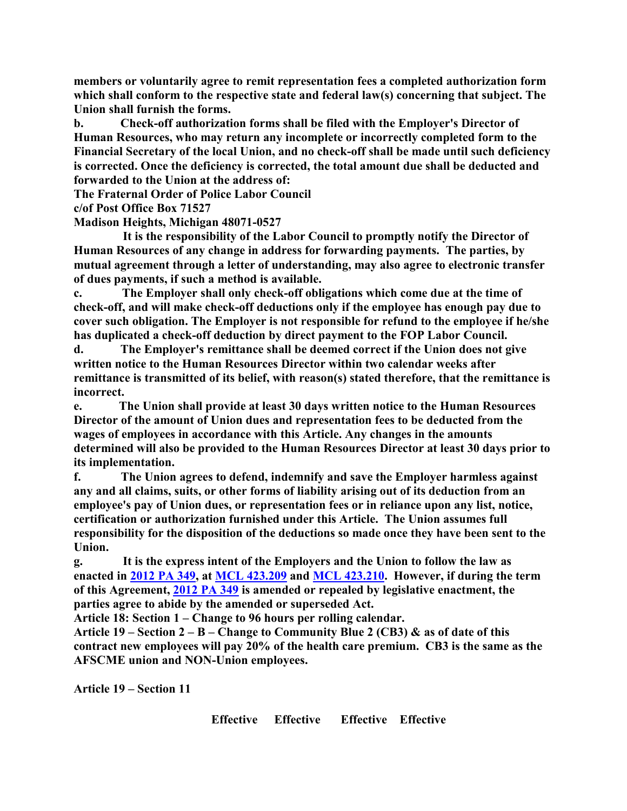**members or voluntarily agree to remit representation fees a completed authorization form which shall conform to the respective state and federal law(s) concerning that subject. The Union shall furnish the forms.** 

**b. Check-off authorization forms shall be filed with the Employer's Director of Human Resources, who may return any incomplete or incorrectly completed form to the Financial Secretary of the local Union, and no check-off shall be made until such deficiency is corrected. Once the deficiency is corrected, the total amount due shall be deducted and forwarded to the Union at the address of:**

**The Fraternal Order of Police Labor Council**

**c/of Post Office Box 71527**

**Madison Heights, Michigan 48071-0527**

 **It is the responsibility of the Labor Council to promptly notify the Director of Human Resources of any change in address for forwarding payments. The parties, by mutual agreement through a letter of understanding, may also agree to electronic transfer of dues payments, if such a method is available.** 

**c. The Employer shall only check-off obligations which come due at the time of check-off, and will make check-off deductions only if the employee has enough pay due to cover such obligation. The Employer is not responsible for refund to the employee if he/she has duplicated a check-off deduction by direct payment to the FOP Labor Council.**

**d. The Employer's remittance shall be deemed correct if the Union does not give written notice to the Human Resources Director within two calendar weeks after remittance is transmitted of its belief, with reason(s) stated therefore, that the remittance is incorrect.**

**e. The Union shall provide at least 30 days written notice to the Human Resources Director of the amount of Union dues and representation fees to be deducted from the wages of employees in accordance with this Article. Any changes in the amounts determined will also be provided to the Human Resources Director at least 30 days prior to its implementation.**

**f. The Union agrees to defend, indemnify and save the Employer harmless against any and all claims, suits, or other forms of liability arising out of its deduction from an employee's pay of Union dues, or representation fees or in reliance upon any list, notice, certification or authorization furnished under this Article. The Union assumes full responsibility for the disposition of the deductions so made once they have been sent to the Union.**

**g. It is the express intent of the Employers and the Union to follow the law as enacted in 2012 PA 349, at MCL 423.209 and MCL 423.210. However, if during the term of this Agreement, 2012 PA 349 is amended or repealed by legislative enactment, the parties agree to abide by the amended or superseded Act.** 

**Article 18: Section 1 – Change to 96 hours per rolling calendar.**

**Article 19 – Section 2 – B – Change to Community Blue 2 (CB3) & as of date of this contract new employees will pay 20% of the health care premium. CB3 is the same as the AFSCME union and NON-Union employees.**

**Article 19 – Section 11**

**Effective Effective Effective Effective**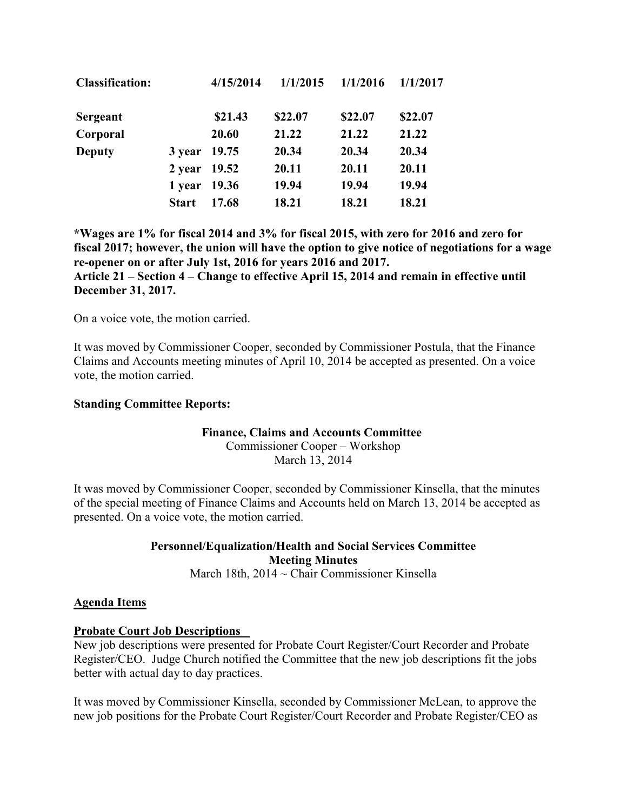| <b>Classification:</b> |              | 4/15/2014 | 1/1/2015 | 1/1/2016 | 1/1/2017 |
|------------------------|--------------|-----------|----------|----------|----------|
| Sergeant               |              | \$21.43   | \$22.07  | \$22.07  | \$22.07  |
| Corporal               |              | 20.60     | 21.22    | 21.22    | 21.22    |
| <b>Deputy</b>          | 3 year 19.75 |           | 20.34    | 20.34    | 20.34    |
|                        | 2 year 19.52 |           | 20.11    | 20.11    | 20.11    |
|                        | 1 year 19.36 |           | 19.94    | 19.94    | 19.94    |
|                        | <b>Start</b> | 17.68     | 18.21    | 18.21    | 18.21    |

**\*Wages are 1% for fiscal 2014 and 3% for fiscal 2015, with zero for 2016 and zero for fiscal 2017; however, the union will have the option to give notice of negotiations for a wage re-opener on or after July 1st, 2016 for years 2016 and 2017.**

**Article 21 – Section 4 – Change to effective April 15, 2014 and remain in effective until December 31, 2017.**

On a voice vote, the motion carried.

It was moved by Commissioner Cooper, seconded by Commissioner Postula, that the Finance Claims and Accounts meeting minutes of April 10, 2014 be accepted as presented. On a voice vote, the motion carried.

#### **Standing Committee Reports:**

#### **Finance, Claims and Accounts Committee**

Commissioner Cooper – Workshop March 13, 2014

It was moved by Commissioner Cooper, seconded by Commissioner Kinsella, that the minutes of the special meeting of Finance Claims and Accounts held on March 13, 2014 be accepted as presented. On a voice vote, the motion carried.

# **Personnel/Equalization/Health and Social Services Committee Meeting Minutes**

March 18th, 2014 ~ Chair Commissioner Kinsella

#### **Agenda Items**

#### **Probate Court Job Descriptions**

New job descriptions were presented for Probate Court Register/Court Recorder and Probate Register/CEO. Judge Church notified the Committee that the new job descriptions fit the jobs better with actual day to day practices.

It was moved by Commissioner Kinsella, seconded by Commissioner McLean, to approve the new job positions for the Probate Court Register/Court Recorder and Probate Register/CEO as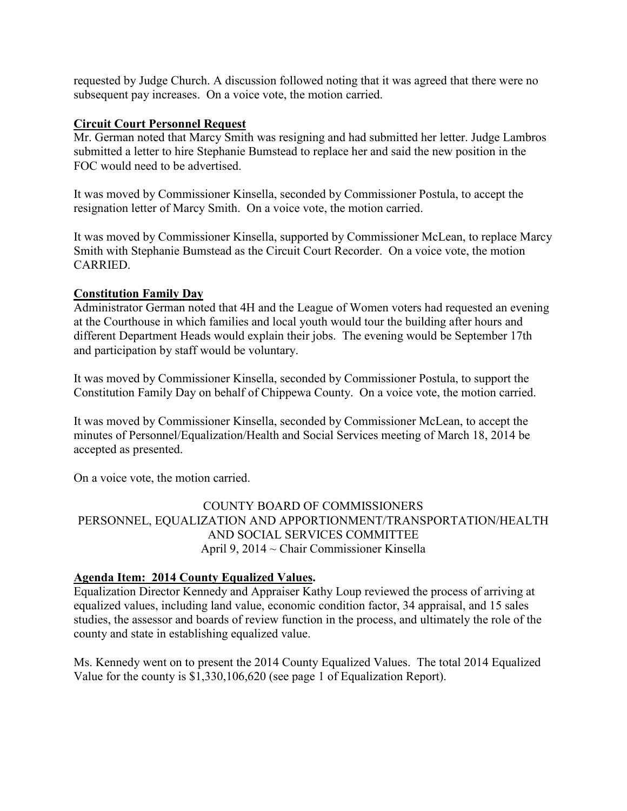requested by Judge Church. A discussion followed noting that it was agreed that there were no subsequent pay increases. On a voice vote, the motion carried.

## **Circuit Court Personnel Request**

Mr. German noted that Marcy Smith was resigning and had submitted her letter. Judge Lambros submitted a letter to hire Stephanie Bumstead to replace her and said the new position in the FOC would need to be advertised.

It was moved by Commissioner Kinsella, seconded by Commissioner Postula, to accept the resignation letter of Marcy Smith. On a voice vote, the motion carried.

It was moved by Commissioner Kinsella, supported by Commissioner McLean, to replace Marcy Smith with Stephanie Bumstead as the Circuit Court Recorder. On a voice vote, the motion CARRIED.

## **Constitution Family Day**

Administrator German noted that 4H and the League of Women voters had requested an evening at the Courthouse in which families and local youth would tour the building after hours and different Department Heads would explain their jobs. The evening would be September 17th and participation by staff would be voluntary.

It was moved by Commissioner Kinsella, seconded by Commissioner Postula, to support the Constitution Family Day on behalf of Chippewa County. On a voice vote, the motion carried.

It was moved by Commissioner Kinsella, seconded by Commissioner McLean, to accept the minutes of Personnel/Equalization/Health and Social Services meeting of March 18, 2014 be accepted as presented.

On a voice vote, the motion carried.

COUNTY BOARD OF COMMISSIONERS PERSONNEL, EQUALIZATION AND APPORTIONMENT/TRANSPORTATION/HEALTH AND SOCIAL SERVICES COMMITTEE April 9, 2014 ~ Chair Commissioner Kinsella

# **Agenda Item: 2014 County Equalized Values.**

Equalization Director Kennedy and Appraiser Kathy Loup reviewed the process of arriving at equalized values, including land value, economic condition factor, 34 appraisal, and 15 sales studies, the assessor and boards of review function in the process, and ultimately the role of the county and state in establishing equalized value.

Ms. Kennedy went on to present the 2014 County Equalized Values. The total 2014 Equalized Value for the county is \$1,330,106,620 (see page 1 of Equalization Report).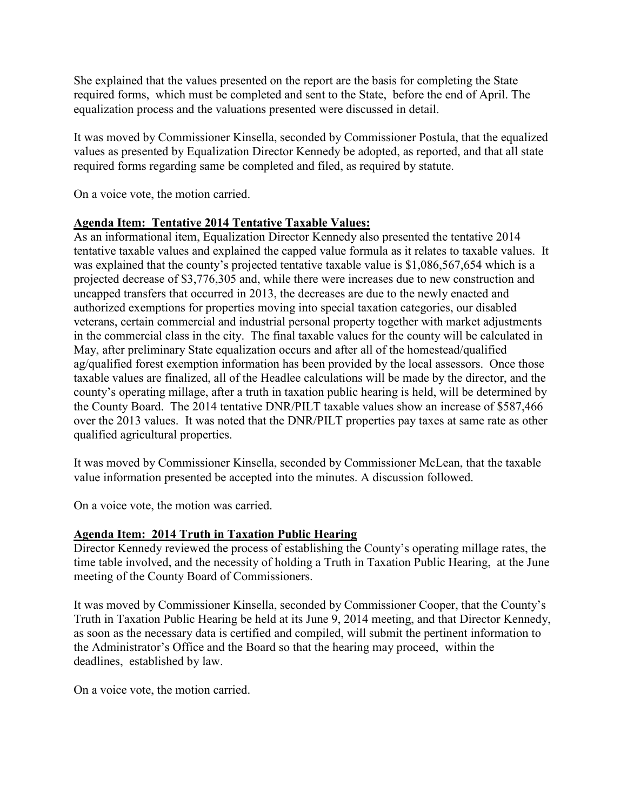She explained that the values presented on the report are the basis for completing the State required forms, which must be completed and sent to the State, before the end of April. The equalization process and the valuations presented were discussed in detail.

It was moved by Commissioner Kinsella, seconded by Commissioner Postula, that the equalized values as presented by Equalization Director Kennedy be adopted, as reported, and that all state required forms regarding same be completed and filed, as required by statute.

On a voice vote, the motion carried.

# **Agenda Item: Tentative 2014 Tentative Taxable Values:**

As an informational item, Equalization Director Kennedy also presented the tentative 2014 tentative taxable values and explained the capped value formula as it relates to taxable values. It was explained that the county's projected tentative taxable value is \$1,086,567,654 which is a projected decrease of \$3,776,305 and, while there were increases due to new construction and uncapped transfers that occurred in 2013, the decreases are due to the newly enacted and authorized exemptions for properties moving into special taxation categories, our disabled veterans, certain commercial and industrial personal property together with market adjustments in the commercial class in the city. The final taxable values for the county will be calculated in May, after preliminary State equalization occurs and after all of the homestead/qualified ag/qualified forest exemption information has been provided by the local assessors. Once those taxable values are finalized, all of the Headlee calculations will be made by the director, and the county's operating millage, after a truth in taxation public hearing is held, will be determined by the County Board. The 2014 tentative DNR/PILT taxable values show an increase of \$587,466 over the 2013 values. It was noted that the DNR/PILT properties pay taxes at same rate as other qualified agricultural properties.

It was moved by Commissioner Kinsella, seconded by Commissioner McLean, that the taxable value information presented be accepted into the minutes. A discussion followed.

On a voice vote, the motion was carried.

# **Agenda Item: 2014 Truth in Taxation Public Hearing**

Director Kennedy reviewed the process of establishing the County's operating millage rates, the time table involved, and the necessity of holding a Truth in Taxation Public Hearing, at the June meeting of the County Board of Commissioners.

It was moved by Commissioner Kinsella, seconded by Commissioner Cooper, that the County's Truth in Taxation Public Hearing be held at its June 9, 2014 meeting, and that Director Kennedy, as soon as the necessary data is certified and compiled, will submit the pertinent information to the Administrator's Office and the Board so that the hearing may proceed, within the deadlines, established by law.

On a voice vote, the motion carried.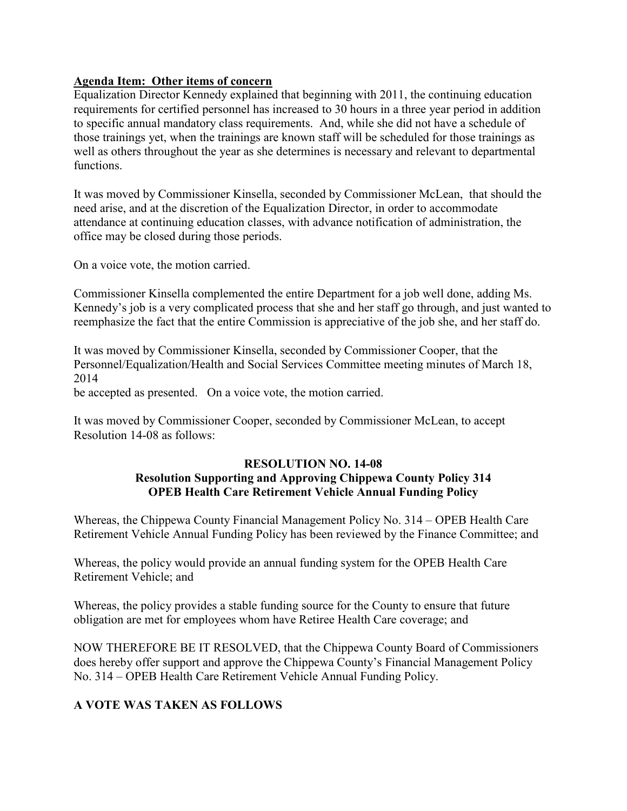## **Agenda Item: Other items of concern**

Equalization Director Kennedy explained that beginning with 2011, the continuing education requirements for certified personnel has increased to 30 hours in a three year period in addition to specific annual mandatory class requirements. And, while she did not have a schedule of those trainings yet, when the trainings are known staff will be scheduled for those trainings as well as others throughout the year as she determines is necessary and relevant to departmental functions.

It was moved by Commissioner Kinsella, seconded by Commissioner McLean, that should the need arise, and at the discretion of the Equalization Director, in order to accommodate attendance at continuing education classes, with advance notification of administration, the office may be closed during those periods.

On a voice vote, the motion carried.

Commissioner Kinsella complemented the entire Department for a job well done, adding Ms. Kennedy's job is a very complicated process that she and her staff go through, and just wanted to reemphasize the fact that the entire Commission is appreciative of the job she, and her staff do.

It was moved by Commissioner Kinsella, seconded by Commissioner Cooper, that the Personnel/Equalization/Health and Social Services Committee meeting minutes of March 18, 2014

be accepted as presented. On a voice vote, the motion carried.

It was moved by Commissioner Cooper, seconded by Commissioner McLean, to accept Resolution 14-08 as follows:

#### **RESOLUTION NO. 14-08**

# **Resolution Supporting and Approving Chippewa County Policy 314 OPEB Health Care Retirement Vehicle Annual Funding Policy**

Whereas, the Chippewa County Financial Management Policy No. 314 – OPEB Health Care Retirement Vehicle Annual Funding Policy has been reviewed by the Finance Committee; and

Whereas, the policy would provide an annual funding system for the OPEB Health Care Retirement Vehicle; and

Whereas, the policy provides a stable funding source for the County to ensure that future obligation are met for employees whom have Retiree Health Care coverage; and

NOW THEREFORE BE IT RESOLVED, that the Chippewa County Board of Commissioners does hereby offer support and approve the Chippewa County's Financial Management Policy No. 314 – OPEB Health Care Retirement Vehicle Annual Funding Policy.

# **A VOTE WAS TAKEN AS FOLLOWS**